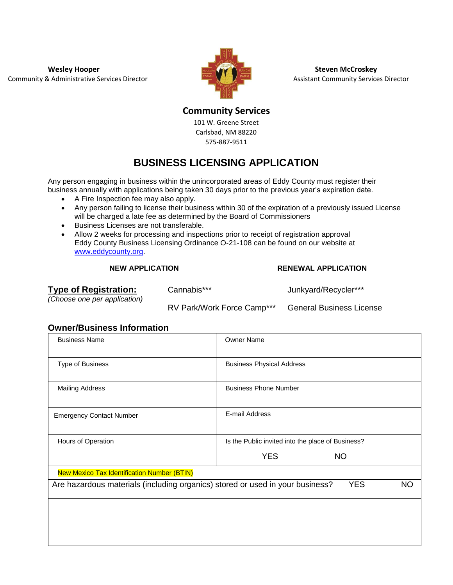**Wesley Hooper Steven McCroskey Steven McCroskey** Community & Administrative Services Director **Assistant Community Services Director** Assistant Community Services Director



**Community Services**

101 W. Greene Street Carlsbad, NM 88220 575-887-9511

# **BUSINESS LICENSING APPLICATION**

Any person engaging in business within the unincorporated areas of Eddy County must register their business annually with applications being taken 30 days prior to the previous year's expiration date.

- A Fire Inspection fee may also apply.
- Any person failing to license their business within 30 of the expiration of a previously issued License will be charged a late fee as determined by the Board of Commissioners
- Business Licenses are not transferable.
- Allow 2 weeks for processing and inspections prior to receipt of registration approval Eddy County Business Licensing Ordinance O-21-108 can be found on our website at www.eddycounty.org.

### **NEW APPLICATION RENEWAL APPLICATION**

*(Choose one per application)*

Cannabis\*\*\* Junkyard/Recycler\*\*\*

RV Park/Work Force Camp\*\*\* General Business License

**Owner/Business Information**

| <b>Business Name</b>                                                                                     | <b>Owner Name</b>                                 |  |  |  |  |
|----------------------------------------------------------------------------------------------------------|---------------------------------------------------|--|--|--|--|
| Type of Business                                                                                         | <b>Business Physical Address</b>                  |  |  |  |  |
| <b>Mailing Address</b>                                                                                   | <b>Business Phone Number</b>                      |  |  |  |  |
| <b>Emergency Contact Number</b>                                                                          | E-mail Address                                    |  |  |  |  |
| Hours of Operation                                                                                       | Is the Public invited into the place of Business? |  |  |  |  |
|                                                                                                          | <b>YES</b><br><b>NO</b>                           |  |  |  |  |
| <b>New Mexico Tax Identification Number (BTIN)</b>                                                       |                                                   |  |  |  |  |
| Are hazardous materials (including organics) stored or used in your business?<br><b>YES</b><br><b>NO</b> |                                                   |  |  |  |  |
|                                                                                                          |                                                   |  |  |  |  |
|                                                                                                          |                                                   |  |  |  |  |
|                                                                                                          |                                                   |  |  |  |  |